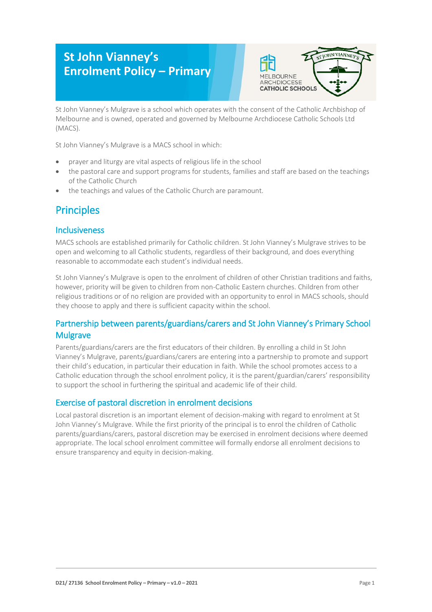# **St John Vianney's Enrolment Policy – Primary**



St John Vianney's Mulgrave is a school which operates with the consent of the Catholic Archbishop of Melbourne and is owned, operated and governed by Melbourne Archdiocese Catholic Schools Ltd (MACS).

St John Vianney's Mulgrave is a MACS school in which:

- prayer and liturgy are vital aspects of religious life in the school
- the pastoral care and support programs for students, families and staff are based on the teachings of the Catholic Church
- the teachings and values of the Catholic Church are paramount.

## **Principles**

#### Inclusiveness

MACS schools are established primarily for Catholic children. St John Vianney's Mulgrave strives to be open and welcoming to all Catholic students, regardless of their background, and does everything reasonable to accommodate each student's individual needs.

St John Vianney's Mulgrave is open to the enrolment of children of other Christian traditions and faiths, however, priority will be given to children from non-Catholic Eastern churches. Children from other religious traditions or of no religion are provided with an opportunity to enrol in MACS schools, should they choose to apply and there is sufficient capacity within the school.

### Partnership between parents/guardians/carers and St John Vianney's Primary School **Mulgrave**

Parents/guardians/carers are the first educators of their children. By enrolling a child in St John Vianney's Mulgrave, parents/guardians/carers are entering into a partnership to promote and support their child's education, in particular their education in faith. While the school promotes access to a Catholic education through the school enrolment policy, it is the parent/guardian/carers' responsibility to support the school in furthering the spiritual and academic life of their child.

### Exercise of pastoral discretion in enrolment decisions

Local pastoral discretion is an important element of decision-making with regard to enrolment at St John Vianney's Mulgrave. While the first priority of the principal is to enrol the children of Catholic parents/guardians/carers, pastoral discretion may be exercised in enrolment decisions where deemed appropriate. The local school enrolment committee will formally endorse all enrolment decisions to ensure transparency and equity in decision-making.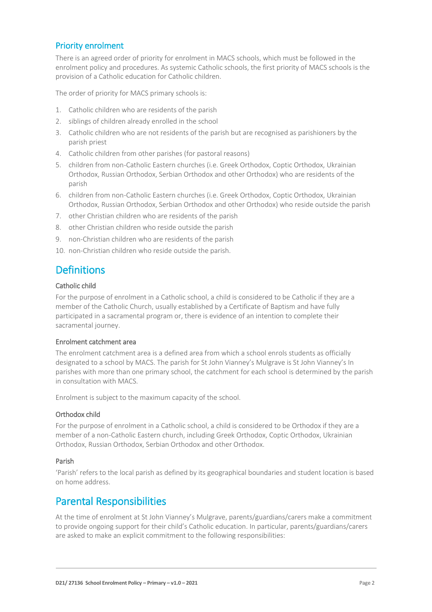### Priority enrolment

There is an agreed order of priority for enrolment in MACS schools, which must be followed in the enrolment policy and procedures. As systemic Catholic schools, the first priority of MACS schools is the provision of a Catholic education for Catholic children.

The order of priority for MACS primary schools is:

- 1. Catholic children who are residents of the parish
- 2. siblings of children already enrolled in the school
- 3. Catholic children who are not residents of the parish but are recognised as parishioners by the parish priest
- 4. Catholic children from other parishes (for pastoral reasons)
- 5. children from non-Catholic Eastern churches (i.e. Greek Orthodox, Coptic Orthodox, Ukrainian Orthodox, Russian Orthodox, Serbian Orthodox and other Orthodox) who are residents of the parish
- 6. children from non-Catholic Eastern churches (i.e. Greek Orthodox, Coptic Orthodox, Ukrainian Orthodox, Russian Orthodox, Serbian Orthodox and other Orthodox) who reside outside the parish
- 7. other Christian children who are residents of the parish
- 8. other Christian children who reside outside the parish
- 9. non-Christian children who are residents of the parish
- 10. non-Christian children who reside outside the parish.

## **Definitions**

#### Catholic child

For the purpose of enrolment in a Catholic school, a child is considered to be Catholic if they are a member of the Catholic Church, usually established by a Certificate of Baptism and have fully participated in a sacramental program or, there is evidence of an intention to complete their sacramental journey.

#### Enrolment catchment area

The enrolment catchment area is a defined area from which a school enrols students as officially designated to a school by MACS. The parish for St John Vianney's Mulgrave is St John Vianney's In parishes with more than one primary school, the catchment for each school is determined by the parish in consultation with MACS.

Enrolment is subject to the maximum capacity of the school.

#### Orthodox child

For the purpose of enrolment in a Catholic school, a child is considered to be Orthodox if they are a member of a non-Catholic Eastern church, including Greek Orthodox, Coptic Orthodox, Ukrainian Orthodox, Russian Orthodox, Serbian Orthodox and other Orthodox.

#### Parish

'Parish' refers to the local parish as defined by its geographical boundaries and student location is based on home address.

### Parental Responsibilities

At the time of enrolment at St John Vianney's Mulgrave, parents/guardians/carers make a commitment to provide ongoing support for their child's Catholic education. In particular, parents/guardians/carers are asked to make an explicit commitment to the following responsibilities: